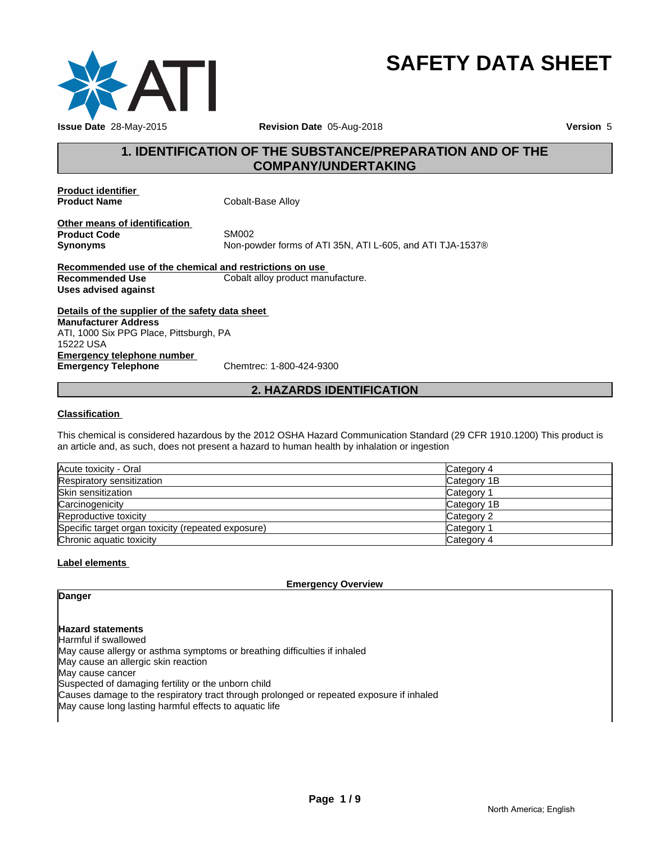

# **SAFETY DATA SHEET**

# **1. IDENTIFICATION OF THE SUBSTANCE/PREPARATION AND OF THE COMPANY/UNDERTAKING**

**Product identifier** 

**Cobalt-Base Alloy** 

**Other means of identification**<br>**Product Code** SM002 **Product Code**<br>Synonyms

**Synonyms** Non-powder forms of ATI 35N, ATI L-605, and ATI TJA-1537®

**Recommended use of the chemical and restrictions on use Recommended Use** Cobalt alloy product manufacture. **Uses advised against**

**Details of the supplier of the safety data sheet Emergency telephone number Emergency Telephone** Chemtrec: 1-800-424-9300 **Manufacturer Address** ATI, 1000 Six PPG Place, Pittsburgh, PA 15222 USA

**2. HAZARDS IDENTIFICATION**

# **Classification**

This chemical is considered hazardous by the 2012 OSHA Hazard Communication Standard (29 CFR 1910.1200) This product is an article and, as such, does not present a hazard to human health by inhalation or ingestion

| Acute toxicity - Oral                              | lCategory 4 |
|----------------------------------------------------|-------------|
| Respiratory sensitization                          | Category 1B |
| <b>Skin sensitization</b>                          | Category    |
| Carcinogenicity                                    | Category 1B |
| Reproductive toxicity                              | Category 2  |
| Specific target organ toxicity (repeated exposure) | Category    |
| Chronic aquatic toxicity                           | Category 4  |

# **Label elements**

**Emergency Overview**

**Danger**

#### **Hazard statements**

Harmful if swallowed May cause allergy or asthma symptoms or breathing difficulties if inhaled May cause an allergic skin reaction May cause cancer Suspected of damaging fertility or the unborn child Causes damage to the respiratory tract through prolonged or repeated exposure if inhaled May cause long lasting harmful effects to aquatic life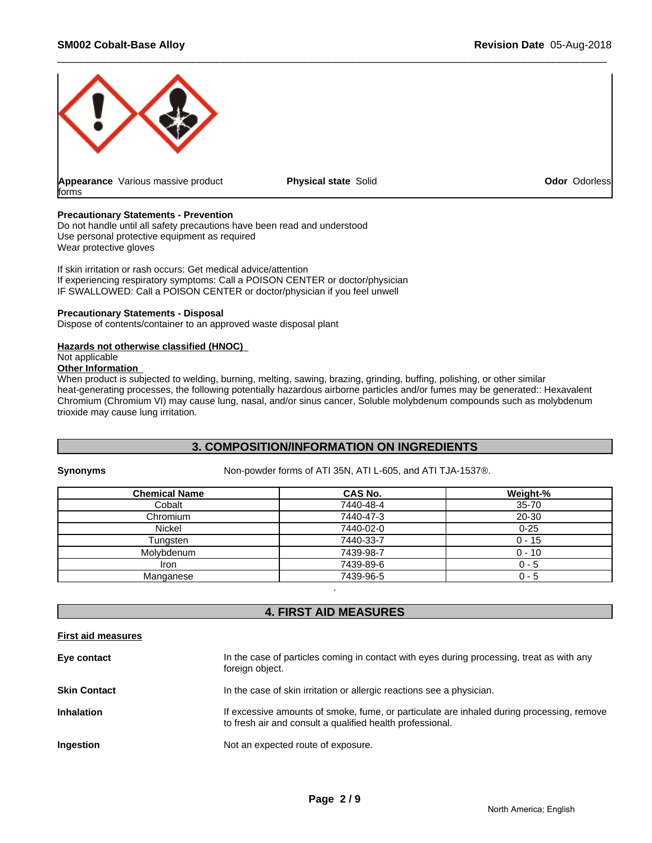

# **Precautionary Statements - Prevention**

Do not handle until all safety precautions have been read and understood Use personal protective equipment as required Wear protective gloves

If skin irritation or rash occurs: Get medical advice/attention If experiencing respiratory symptoms: Call a POISON CENTER or doctor/physician IF SWALLOWED: Call a POISON CENTER or doctor/physician if you feel unwell

### **Precautionary Statements - Disposal**

Dispose of contents/container to an approved waste disposal plant

### **Hazards not otherwise classified (HNOC)**

Not applicable

# **Other Information**

When product is subjected to welding, burning, melting, sawing, brazing, grinding, buffing, polishing, or other similar heat-generating processes, the following potentially hazardous airborne particles and/or fumes may be generated:: Hexavalent Chromium (Chromium VI) may cause lung, nasal, and/or sinus cancer, Soluble molybdenum compounds such as molybdenum trioxide may cause lung irritation.

# **3. COMPOSITION/INFORMATION ON INGREDIENTS**

**Synonyms** Non-powder forms of ATI 35N, ATI L-605, and ATI TJA-1537®.

| <b>Chemical Name</b> | CAS No.   | Weight-% |
|----------------------|-----------|----------|
| Cobalt               | 7440-48-4 | 35-70    |
| Chromium             | 7440-47-3 | 20-30    |
| <b>Nickel</b>        | 7440-02-0 | $0 - 25$ |
| Tungsten             | 7440-33-7 | $0 - 15$ |
| Molybdenum           | 7439-98-7 | $0 - 10$ |
| Iron                 | 7439-89-6 | $0 - 5$  |
| Manganese            | 7439-96-5 | $0 - 5$  |

# **4. FIRST AID MEASURES**

# **First aid measures**

| Eye contact         | In the case of particles coming in contact with eyes during processing, treat as with any<br>foreign object.                                           |
|---------------------|--------------------------------------------------------------------------------------------------------------------------------------------------------|
| <b>Skin Contact</b> | In the case of skin irritation or allergic reactions see a physician.                                                                                  |
| Inhalation          | If excessive amounts of smoke, fume, or particulate are inhaled during processing, remove<br>to fresh air and consult a qualified health professional. |
| Ingestion           | Not an expected route of exposure.                                                                                                                     |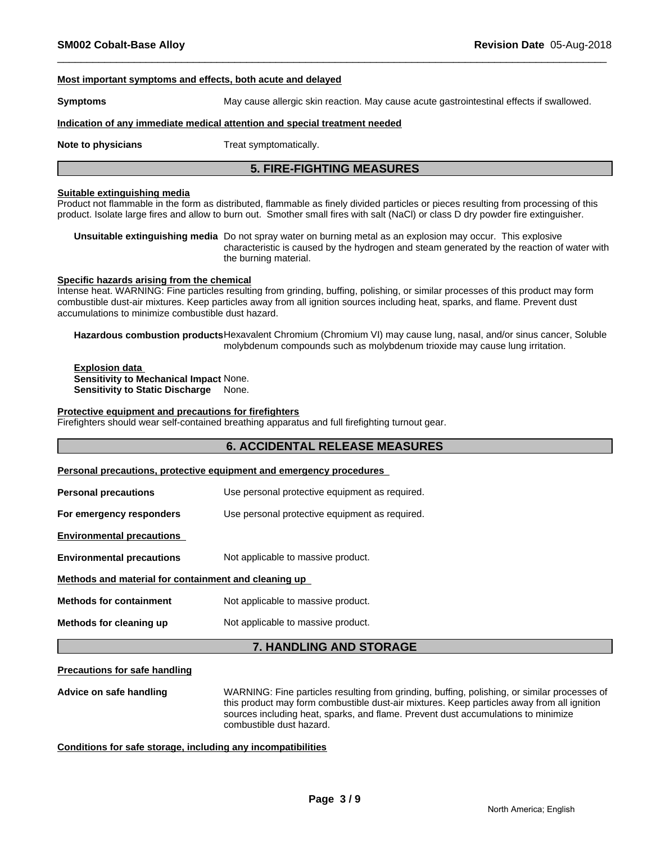# **Most important symptoms and effects, both acute and delayed**

**Symptoms** May cause allergic skin reaction. May cause acute gastrointestinal effects if swallowed.

### **Indication of any immediate medical attention and special treatment needed**

**Note to physicians** Treat symptomatically.

# **5. FIRE-FIGHTING MEASURES**

### **Suitable extinguishing media**

Product not flammable in the form as distributed, flammable as finely divided particles or pieces resulting from processing of this product. Isolate large fires and allow to burn out. Smother small fires with salt (NaCl) or class D dry powder fire extinguisher.

**Unsuitable extinguishing media** Do not spray water on burning metal as an explosion may occur. This explosive characteristic is caused by the hydrogen and steam generated by the reaction of water with the burning material.

#### **Specific hazards arising from the chemical**

Intense heat. WARNING: Fine particles resulting from grinding, buffing, polishing, or similar processes of this product may form combustible dust-air mixtures. Keep particles away from all ignition sources including heat, sparks, and flame. Prevent dust accumulations to minimize combustible dust hazard.

**Hazardous combustion products**Hexavalent Chromium (Chromium VI) may cause lung, nasal, and/or sinus cancer, Soluble molybdenum compounds such as molybdenum trioxide may cause lung irritation.

**Explosion data Sensitivity to Mechanical Impact** None. **Sensitivity to Static Discharge** None.

#### **Protective equipment and precautions for firefighters**

Firefighters should wear self-contained breathing apparatus and full firefighting turnout gear.

|                                                      | <b>6. ACCIDENTAL RELEASE MEASURES</b>                               |
|------------------------------------------------------|---------------------------------------------------------------------|
|                                                      | Personal precautions, protective equipment and emergency procedures |
| <b>Personal precautions</b>                          | Use personal protective equipment as required.                      |
| For emergency responders                             | Use personal protective equipment as required.                      |
| <b>Environmental precautions</b>                     |                                                                     |
| <b>Environmental precautions</b>                     | Not applicable to massive product.                                  |
| Methods and material for containment and cleaning up |                                                                     |
| <b>Methods for containment</b>                       | Not applicable to massive product.                                  |
| Methods for cleaning up                              | Not applicable to massive product.                                  |
|                                                      | <b>7. HANDLING AND STORAGE</b>                                      |

# **Precautions for safe handling**

**Advice on safe handling** WARNING: Fine particles resulting from grinding, buffing, polishing, or similar processes of this product may form combustible dust-air mixtures. Keep particles away from all ignition sources including heat, sparks, and flame. Prevent dust accumulations to minimize combustible dust hazard.

#### **Conditions for safe storage, including any incompatibilities**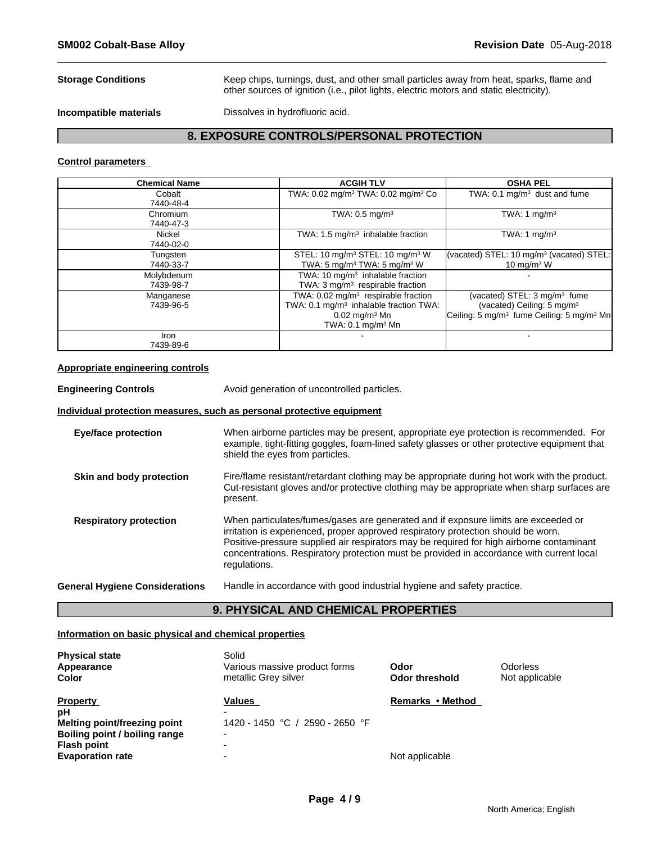**Storage Conditions** Keep chips, turnings, dust, and other small particles away from heat, sparks, flame and other sources of ignition (i.e., pilot lights, electric motors and static electricity).

**Incompatible materials** Dissolves in hydrofluoric acid.

# **8. EXPOSURE CONTROLS/PERSONAL PROTECTION**

# **Control parameters**

| <b>Chemical Name</b> | <b>ACGIH TLV</b>                                           | <b>OSHA PEL</b>                                                   |
|----------------------|------------------------------------------------------------|-------------------------------------------------------------------|
| Cobalt               | TWA: 0.02 mg/m <sup>3</sup> TWA: 0.02 mg/m <sup>3</sup> Co | TWA: $0.1 \text{ mg/m}^3$ dust and fume                           |
| 7440-48-4            |                                                            |                                                                   |
| Chromium             | TWA: $0.5$ mg/m <sup>3</sup>                               | TWA: 1 $mq/m3$                                                    |
| 7440-47-3            |                                                            |                                                                   |
| Nickel               | TWA: $1.5 \text{ mg/m}^3$ inhalable fraction               | TWA: 1 $mq/m3$                                                    |
| 7440-02-0            |                                                            |                                                                   |
| Tungsten             | STEL: 10 mg/m <sup>3</sup> STEL: 10 mg/m <sup>3</sup> W    | (vacated) STEL: 10 mg/m <sup>3</sup> (vacated) STEL:              |
| 7440-33-7            | TWA: 5 mg/m <sup>3</sup> TWA: 5 mg/m <sup>3</sup> W        | 10 mg/m $3$ W                                                     |
| Molybdenum           | TWA: $10 \text{ mg/m}^3$ inhalable fraction                |                                                                   |
| 7439-98-7            | TWA: $3 \text{mq/m}^3$ respirable fraction                 |                                                                   |
| Manganese            | TWA: $0.02$ mg/m <sup>3</sup> respirable fraction          | (vacated) STEL: $3 \text{ mg/m}^3$ fume                           |
| 7439-96-5            | TWA: 0.1 mg/m <sup>3</sup> inhalable fraction TWA:         | (vacated) Ceiling: 5 mg/m <sup>3</sup>                            |
|                      | $0.02 \text{ mg/m}^3 \text{ Mn}$                           | Ceiling: 5 mg/m <sup>3</sup> fume Ceiling: 5 mg/m <sup>3</sup> Mn |
|                      | TWA: $0.1 \text{ mg/m}^3$ Mn                               |                                                                   |
| Iron                 |                                                            |                                                                   |
| 7439-89-6            |                                                            |                                                                   |

# **Appropriate engineering controls**

**Engineering Controls Avoid generation of uncontrolled particles.** 

#### **Individual protection measures, such as personal protective equipment**

**Eye/face protection** When airborne particles may be present, appropriate eye protection is recommended. For example, tight-fitting goggles, foam-lined safety glasses or other protective equipment that shield the eyes from particles. **Skin and body protection** Fire/flame resistant/retardant clothing may be appropriate during hot work with the product. Cut-resistant gloves and/or protective clothing may be appropriate when sharp surfaces are present. **Respiratory protection** When particulates/fumes/gases are generated and if exposure limits are exceeded or irritation is experienced, proper approved respiratory protection should be worn. Positive-pressure supplied air respirators may be required for high airborne contaminant concentrations. Respiratory protection must be provided in accordance with current local regulations. **General Hygiene Considerations** Handle in accordance with good industrial hygiene and safety practice.

# **9. PHYSICAL AND CHEMICAL PROPERTIES**

#### **Information on basic physical and chemical properties**

| <b>Physical state</b><br>Appearance<br><b>Color</b> | Solid<br>Various massive product forms<br>metallic Grey silver | Odor<br><b>Odor threshold</b> | Odorless<br>Not applicable |
|-----------------------------------------------------|----------------------------------------------------------------|-------------------------------|----------------------------|
| <b>Property</b>                                     | Values                                                         | Remarks • Method              |                            |
| рH                                                  |                                                                |                               |                            |
| Melting point/freezing point                        | 1420 - 1450 °C / 2590 - 2650 °F                                |                               |                            |
| Boiling point / boiling range                       | $\overline{\phantom{0}}$                                       |                               |                            |
| <b>Flash point</b>                                  | -                                                              |                               |                            |
| <b>Evaporation rate</b>                             | $\overline{\phantom{0}}$                                       | Not applicable                |                            |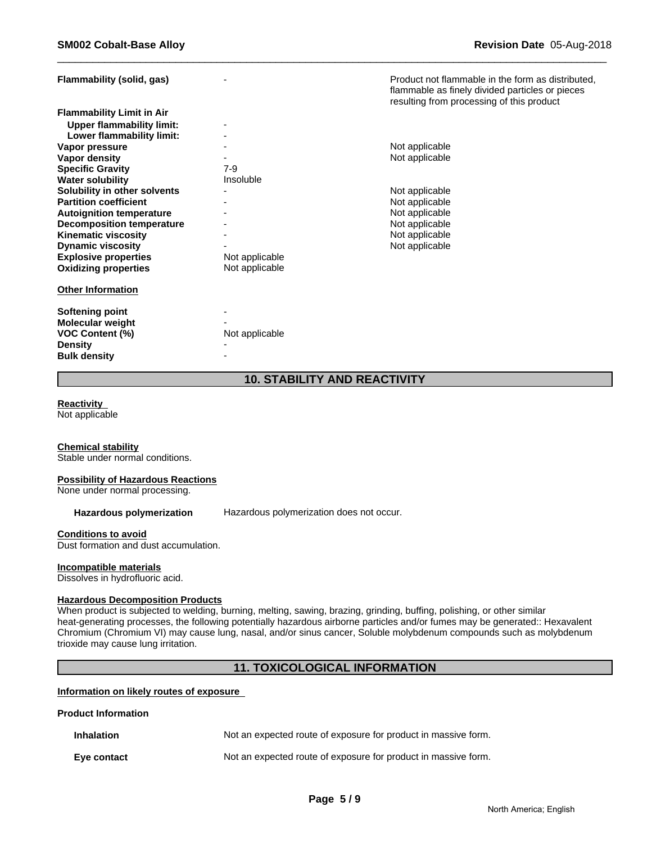| Flammability (solid, gas)        |                | Product not flammable in the form as distributed.<br>flammable as finely divided particles or pieces<br>resulting from processing of this product |
|----------------------------------|----------------|---------------------------------------------------------------------------------------------------------------------------------------------------|
| <b>Flammability Limit in Air</b> |                |                                                                                                                                                   |
| <b>Upper flammability limit:</b> |                |                                                                                                                                                   |
| Lower flammability limit:        |                |                                                                                                                                                   |
| Vapor pressure                   |                | Not applicable                                                                                                                                    |
| Vapor density                    |                | Not applicable                                                                                                                                    |
| <b>Specific Gravity</b>          | 7-9            |                                                                                                                                                   |
| <b>Water solubility</b>          | Insoluble      |                                                                                                                                                   |
| Solubility in other solvents     |                | Not applicable                                                                                                                                    |
| <b>Partition coefficient</b>     |                | Not applicable                                                                                                                                    |
| <b>Autoignition temperature</b>  |                | Not applicable                                                                                                                                    |
| <b>Decomposition temperature</b> |                | Not applicable                                                                                                                                    |
| <b>Kinematic viscosity</b>       |                | Not applicable                                                                                                                                    |
| <b>Dynamic viscosity</b>         |                | Not applicable                                                                                                                                    |
| <b>Explosive properties</b>      | Not applicable |                                                                                                                                                   |
| <b>Oxidizing properties</b>      | Not applicable |                                                                                                                                                   |
| <b>Other Information</b>         |                |                                                                                                                                                   |
| <b>Softening point</b>           |                |                                                                                                                                                   |
| <b>Molecular weight</b>          |                |                                                                                                                                                   |
| <b>VOC Content (%)</b>           | Not applicable |                                                                                                                                                   |
| <b>Density</b>                   |                |                                                                                                                                                   |
| <b>Bulk density</b>              |                |                                                                                                                                                   |

# **10. STABILITY AND REACTIVITY**

# **Reactivity**

Not applicable

# **Chemical stability**

Stable under normal conditions.

# **Possibility of Hazardous Reactions**

None under normal processing.

Hazardous polymerization Hazardous polymerization does not occur.

# **Conditions to avoid**

Dust formation and dust accumulation.

# **Incompatible materials**

Dissolves in hydrofluoric acid.

# **Hazardous Decomposition Products**

When product is subjected to welding, burning, melting, sawing, brazing, grinding, buffing, polishing, or other similar heat-generating processes, the following potentially hazardous airborne particles and/or fumes may be generated:: Hexavalent Chromium (Chromium VI) may cause lung, nasal, and/or sinus cancer, Soluble molybdenum compounds such as molybdenum trioxide may cause lung irritation.

# **11. TOXICOLOGICAL INFORMATION**

# **Information on likely routes of exposure**

# **Product Information**

| Inhalation  | Not an expected route of exposure for product in massive form. |
|-------------|----------------------------------------------------------------|
| Eye contact | Not an expected route of exposure for product in massive form. |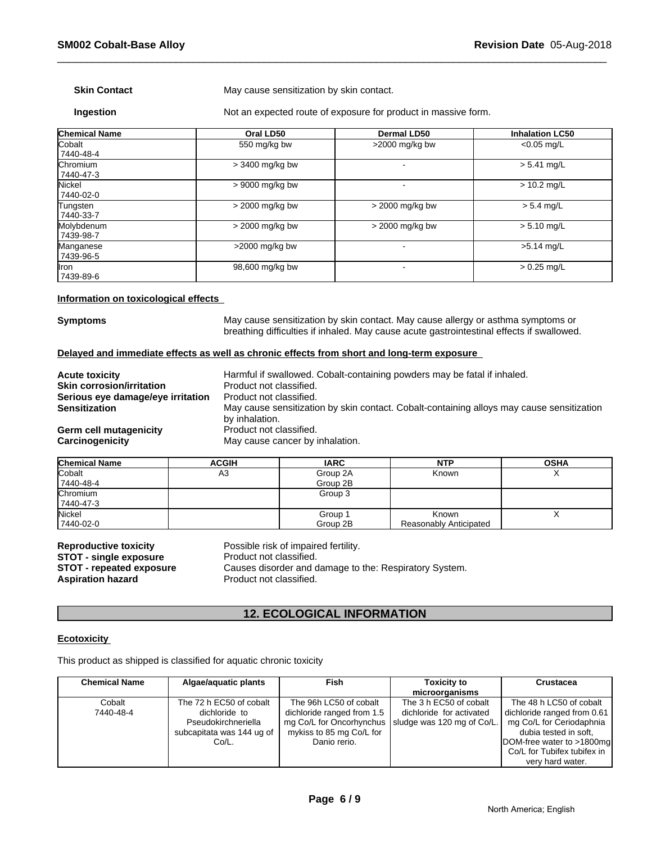**Skin Contact** May cause sensitization by skin contact.

**Ingestion** Not an expected route of exposure for product in massive form.

| <b>Chemical Name</b>    | Oral LD50        | <b>Dermal LD50</b> | <b>Inhalation LC50</b> |
|-------------------------|------------------|--------------------|------------------------|
| Cobalt<br>7440-48-4     | 550 mg/kg bw     | $>2000$ mg/kg bw   | $< 0.05$ mg/L          |
| Chromium<br>7440-47-3   | > 3400 mg/kg bw  |                    | $> 5.41$ mg/L          |
| Nickel<br>7440-02-0     | > 9000 mg/kg bw  |                    | $> 10.2$ mg/L          |
| Tungsten<br>7440-33-7   | > 2000 mg/kg bw  | > 2000 mg/kg bw    | $> 5.4$ mg/L           |
| Molybdenum<br>7439-98-7 | > 2000 mg/kg bw  | > 2000 mg/kg bw    | $> 5.10$ mg/L          |
| Manganese<br>7439-96-5  | $>2000$ mg/kg bw |                    | $>5.14$ mg/L           |
| llron<br>7439-89-6      | 98,600 mg/kg bw  |                    | $> 0.25$ mg/L          |

# **Information on toxicological effects**

**Symptoms** May cause sensitization by skin contact. May cause allergy or asthma symptoms or breathing difficulties if inhaled. May cause acute gastrointestinal effects if swallowed.

# **Delayed and immediate effects as well as chronic effects from short and long-term exposure**

| <b>Acute toxicity</b>             | Harmful if swallowed. Cobalt-containing powders may be fatal if inhaled.                  |
|-----------------------------------|-------------------------------------------------------------------------------------------|
| <b>Skin corrosion/irritation</b>  | Product not classified.                                                                   |
| Serious eye damage/eye irritation | Product not classified.                                                                   |
| <b>Sensitization</b>              | May cause sensitization by skin contact. Cobalt-containing alloys may cause sensitization |
|                                   | by inhalation.                                                                            |
| Germ cell mutagenicity            | Product not classified.                                                                   |
| Carcinogenicity                   | May cause cancer by inhalation.                                                           |
|                                   |                                                                                           |

| <b>Chemical Name</b> | <b>ACGIH</b> | <b>IARC</b> | <b>NTP</b>             | <b>OSHA</b> |
|----------------------|--------------|-------------|------------------------|-------------|
| Cobalt               | A3           | Group 2A    | Known                  | $\lambda$   |
| 7440-48-4            |              | Group 2B    |                        |             |
| Chromium             |              | Group 3     |                        |             |
| 7440-47-3            |              |             |                        |             |
| Nickel               |              | Group 1     | Known                  |             |
| 7440-02-0            |              | Group 2B    | Reasonably Anticipated |             |

| <b>Reproductive toxicity</b>    |
|---------------------------------|
| <b>STOT - single exposure</b>   |
| <b>STOT - repeated exposure</b> |
| <b>Aspiration hazard</b>        |

Possible risk of impaired fertility. Product not classified. Causes disorder and damage to the: Respiratory System. **Product not classified.** 

# **12. ECOLOGICAL INFORMATION**

# **Ecotoxicity**

This product as shipped is classified for aquatic chronic toxicity

| <b>Chemical Name</b> | Algae/aquatic plants      | Fish                       | <b>Toxicity to</b>         | <b>Crustacea</b>            |
|----------------------|---------------------------|----------------------------|----------------------------|-----------------------------|
|                      |                           |                            | microorganisms             |                             |
| Cobalt               | The 72 h EC50 of cobalt   | The 96h LC50 of cobalt     | The 3 h EC50 of cobalt     | The 48 h LC50 of cobalt     |
| 7440-48-4            | dichloride to             | dichloride ranged from 1.5 | dichloride for activated   | dichloride ranged from 0.61 |
|                      | Pseudokirchneriella       | mg Co/L for Oncorhynchus   | sludge was 120 mg of Co/L. | mg Co/L for Ceriodaphnia    |
|                      | subcapitata was 144 ug of | mykiss to 85 mg Co/L for   |                            | dubia tested in soft.       |
|                      | Co/L.                     | Danio rerio.               |                            | DOM-free water to >1800mg   |
|                      |                           |                            |                            | Co/L for Tubifex tubifex in |
|                      |                           |                            |                            | very hard water.            |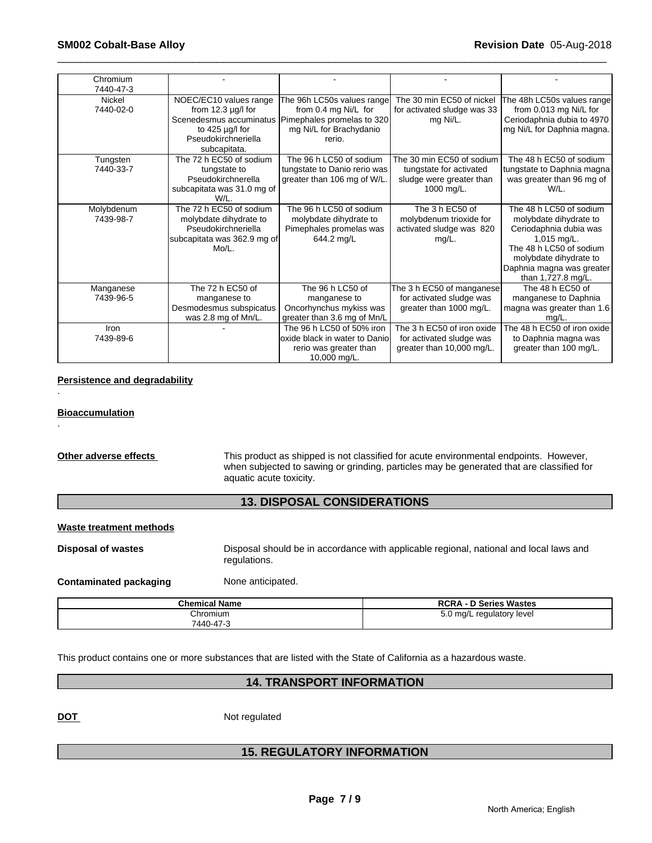| Chromium<br>7440-47-3   |                                                                                                                                             |                                                                                                                       |                                                                                                |                                                                                                                                                                                                      |
|-------------------------|---------------------------------------------------------------------------------------------------------------------------------------------|-----------------------------------------------------------------------------------------------------------------------|------------------------------------------------------------------------------------------------|------------------------------------------------------------------------------------------------------------------------------------------------------------------------------------------------------|
| Nickel<br>7440-02-0     | NOEC/EC10 values range<br>from $12.3 \mu g/l$ for<br>Scenedesmus accuminatus<br>to $425 \mu g/l$ for<br>Pseudokirchneriella<br>subcapitata. | The 96h LC50s values range<br>from 0.4 mg Ni/L for<br>Pimephales promelas to 320<br>mg Ni/L for Brachydanio<br>rerio. | The 30 min EC50 of nickel<br>for activated sludge was 33<br>mg Ni/L.                           | The 48h LC50s values range<br>from 0.013 mg Ni/L for<br>Ceriodaphnia dubia to 4970<br>mg Ni/L for Daphnia magna.                                                                                     |
| Tungsten<br>7440-33-7   | The 72 h EC50 of sodium<br>tungstate to<br>Pseudokirchnerella<br>subcapitata was 31.0 mg of<br>W/L.                                         | The 96 h LC50 of sodium<br>tungstate to Danio rerio was<br>greater than 106 mg of W/L.                                | The 30 min EC50 of sodium<br>tungstate for activated<br>sludge were greater than<br>1000 mg/L. | The 48 h EC50 of sodium<br>tungstate to Daphnia magna<br>was greater than 96 mg of<br>W/L.                                                                                                           |
| Molybdenum<br>7439-98-7 | The 72 h EC50 of sodium<br>molybdate dihydrate to<br>Pseudokirchneriella<br>subcapitata was 362.9 mg of<br>Mo/L.                            | The 96 h LC50 of sodium<br>molybdate dihydrate to<br>Pimephales promelas was<br>644.2 mg/L                            | The 3 h EC50 of<br>molybdenum trioxide for<br>activated sludge was 820<br>$mg/L$ .             | The 48 h LC50 of sodium<br>molybdate dihydrate to<br>Ceriodaphnia dubia was<br>$1,015$ mg/L.<br>The 48 h LC50 of sodium<br>molybdate dihydrate to<br>Daphnia magna was greater<br>than 1,727.8 mg/L. |
| Manganese<br>7439-96-5  | The 72 h EC50 of<br>manganese to<br>Desmodesmus subspicatus<br>was 2.8 mg of Mn/L.                                                          | The 96 h LC50 of<br>manganese to<br>Oncorhynchus mykiss was<br>greater than 3.6 mg of Mn/L                            | The 3 h EC50 of manganese<br>for activated sludge was<br>greater than 1000 mg/L.               | The 48 h EC50 of<br>manganese to Daphnia<br>magna was greater than 1.6<br>ma/L.                                                                                                                      |
| Iron<br>7439-89-6       |                                                                                                                                             | The 96 h LC50 of 50% iron<br>loxide black in water to Danio<br>rerio was greater than<br>10,000 mg/L.                 | The 3 h EC50 of iron oxide<br>for activated sludge was<br>greater than 10,000 mg/L.            | The 48 h EC50 of iron oxide<br>to Daphnia magna was<br>greater than 100 mg/L.                                                                                                                        |

# **Persistence and degradability**

#### **Bioaccumulation**

.

.

**Other adverse effects** This product as shipped is not classified for acute environmental endpoints. However, when subjected to sawing or grinding, particles may be generated that are classified for aquatic acute toxicity.

# **13. DISPOSAL CONSIDERATIONS**

#### **Waste treatment methods**

**Disposal of wastes** Disposal should be in accordance with applicable regional, national and local laws and regulations.

**Contaminated packaging Mone anticipated.** 

| <b>Chemical Name</b> | <b>\ - D Series Wastes</b><br><b>RCRA</b> |
|----------------------|-------------------------------------------|
| Chromium             | $5.0 \text{ mg/L}$<br>regulatory level    |
| 7440-47-3            |                                           |

This product contains one or more substances that are listed with the State of California as a hazardous waste.

# **14. TRANSPORT INFORMATION**

DOT Not regulated

# **15. REGULATORY INFORMATION**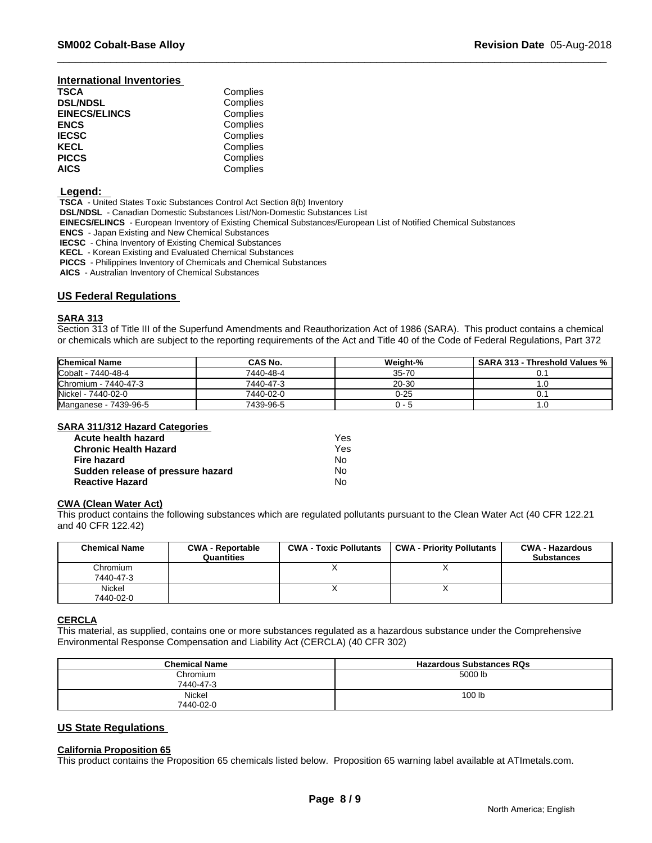# **International Inventories**

| TSCA                 | Complies |  |
|----------------------|----------|--|
| <b>DSL/NDSL</b>      | Complies |  |
| <b>EINECS/ELINCS</b> | Complies |  |
| <b>ENCS</b>          | Complies |  |
| <b>IECSC</b>         | Complies |  |
| KECL                 | Complies |  |
| <b>PICCS</b>         | Complies |  |
| <b>AICS</b>          | Complies |  |

# **Legend:**

 **TSCA** - United States Toxic Substances Control Act Section 8(b) Inventory

 **DSL/NDSL** - Canadian Domestic Substances List/Non-Domestic Substances List

 **EINECS/ELINCS** - European Inventory of Existing Chemical Substances/European List of Notified Chemical Substances

 **ENCS** - Japan Existing and New Chemical Substances

 **IECSC** - China Inventory of Existing Chemical Substances

 **KECL** - Korean Existing and Evaluated Chemical Substances

 **PICCS** - Philippines Inventory of Chemicals and Chemical Substances

 **AICS** - Australian Inventory of Chemical Substances

# **US Federal Regulations**

# **SARA 313**

Section 313 of Title III of the Superfund Amendments and Reauthorization Act of 1986 (SARA). This product contains a chemical or chemicals which are subject to the reporting requirements of the Act and Title 40 of the Code of Federal Regulations, Part 372

| <b>Chemical Name</b>  | CAS No.   | Weight-%  | <b>SARA 313 - Threshold Values %</b> |
|-----------------------|-----------|-----------|--------------------------------------|
| Cobalt - 7440-48-4    | 7440-48-4 | $35 - 70$ |                                      |
| Chromium - 7440-47-3  | 7440-47-3 | 20-30     |                                      |
| Nickel - 7440-02-0    | 7440-02-0 | 0-25      |                                      |
| Manganese - 7439-96-5 | 7439-96-5 |           | ن ا                                  |

# **SARA 311/312 Hazard Categories**

| Acute health hazard               | Yes |  |
|-----------------------------------|-----|--|
| <b>Chronic Health Hazard</b>      | Yes |  |
| Fire hazard                       | N٥  |  |
| Sudden release of pressure hazard | No. |  |
| <b>Reactive Hazard</b>            | No  |  |

# **CWA (Clean Water Act)**

This product contains the following substances which are regulated pollutants pursuant to the Clean Water Act (40 CFR 122.21 and 40 CFR 122.42)

| <b>Chemical Name</b>  | <b>CWA - Reportable</b><br>Quantities | <b>CWA - Toxic Pollutants</b> | <b>CWA - Priority Pollutants</b> | <b>CWA - Hazardous</b><br><b>Substances</b> |
|-----------------------|---------------------------------------|-------------------------------|----------------------------------|---------------------------------------------|
| Chromium<br>7440-47-3 |                                       |                               |                                  |                                             |
| Nickel<br>7440-02-0   |                                       |                               |                                  |                                             |

#### **CERCLA**

This material, as supplied, contains one or more substances regulated as a hazardous substance under the Comprehensive Environmental Response Compensation and Liability Act (CERCLA) (40 CFR 302)

| <b>Chemical Name</b>  | <b>Hazardous Substances RQs</b> |
|-----------------------|---------------------------------|
| Chromium<br>7440-47-3 | 5000 lb                         |
| Nickel<br>7440-02-0   | 100 lb                          |

# **US State Regulations**

# **California Proposition 65**

This product contains the Proposition 65 chemicals listed below. Proposition 65 warning label available at ATImetals.com.